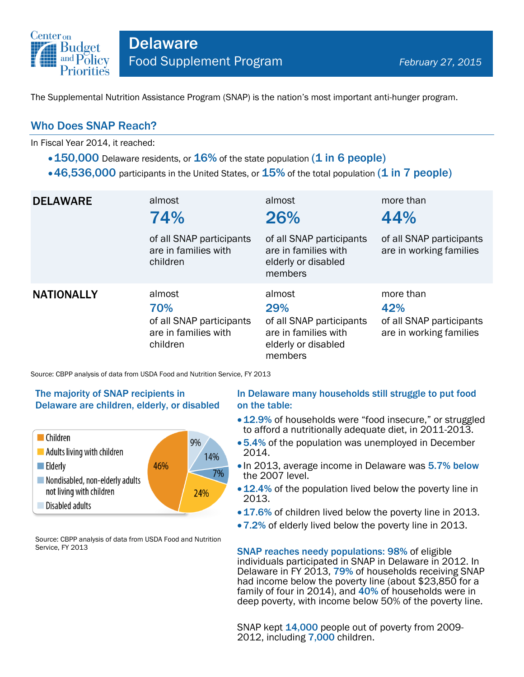

The Supplemental Nutrition Assistance Program (SNAP) is the nation's most important anti-hunger program.

## Who Does SNAP Reach?

In Fiscal Year 2014, it reached:

- $\cdot$  150,000 Delaware residents, or 16% of the state population (1 in 6 people)
- $\cdot$  46,536,000 participants in the United States, or  $15\%$  of the total population (1 in 7 people)

| <b>DELAWARE</b>   | almost<br>74%<br>of all SNAP participants<br>are in families with<br>children | almost<br>26%<br>of all SNAP participants<br>are in families with<br>elderly or disabled<br>members | more than<br>44%<br>of all SNAP participants<br>are in working families |
|-------------------|-------------------------------------------------------------------------------|-----------------------------------------------------------------------------------------------------|-------------------------------------------------------------------------|
| <b>NATIONALLY</b> | almost<br>70%<br>of all SNAP participants<br>are in families with<br>children | almost<br>29%<br>of all SNAP participants<br>are in families with<br>elderly or disabled<br>members | more than<br>42%<br>of all SNAP participants<br>are in working families |

Source: CBPP analysis of data from USDA Food and Nutrition Service, FY 2013

#### The majority of SNAP recipients in Delaware are children, elderly, or disabled



Source: CBPP analysis of data from USDA Food and Nutrition Service, FY 2013

#### In Delaware many households still struggle to put food on the table:

- 12.9% of households were "food insecure," or struggled to afford a nutritionally adequate diet, in 2011-2013.
- 5.4% of the population was unemployed in December 2014.
- In 2013, average income in Delaware was 5.7% below the 2007 level.
- 12.4% of the population lived below the poverty line in 2013.
- 17.6% of children lived below the poverty line in 2013.
- 7.2% of elderly lived below the poverty line in 2013.

SNAP reaches needy populations: 98% of eligible individuals participated in SNAP in Delaware in 2012. In Delaware in FY 2013, 79% of households receiving SNAP had income below the poverty line (about \$23,850 for a family of four in 2014), and 40% of households were in deep poverty, with income below 50% of the poverty line.

SNAP kept 14,000 people out of poverty from 2009-2012, including 7,000 children.